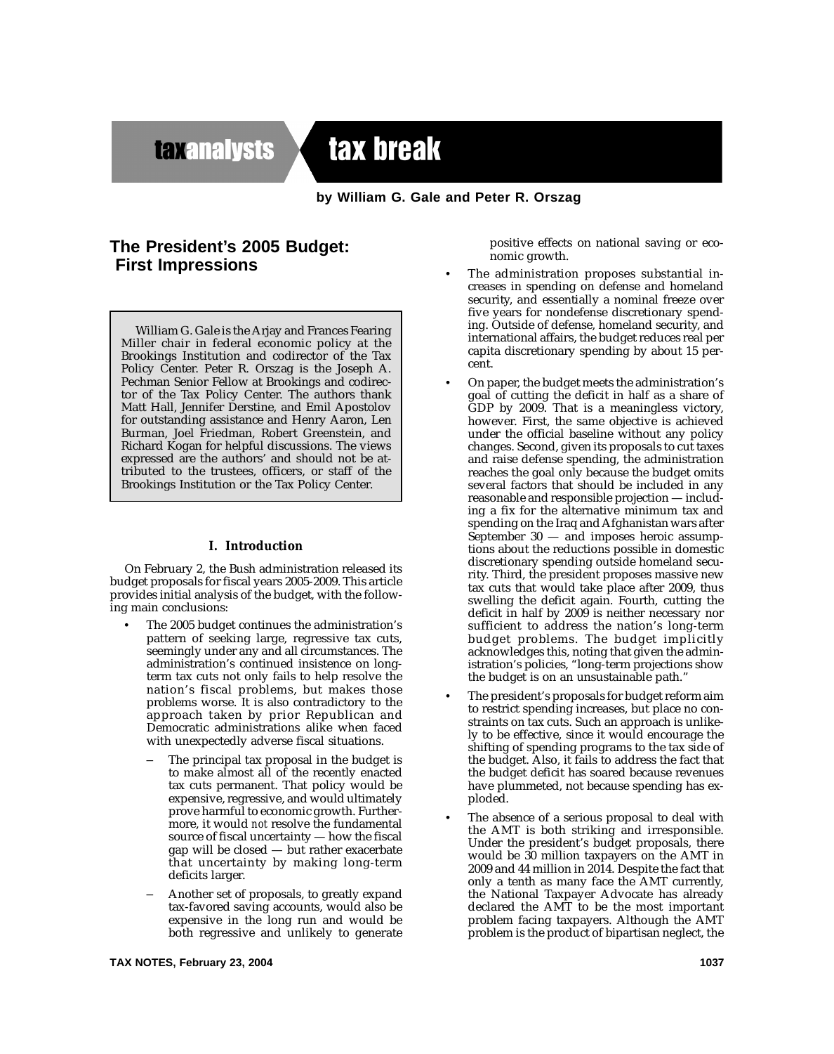# **taxanalysts**

tax break

# by William G. Gale and Peter R. Orszag

# The President's 2005 Budget: **First Impressions**

William G. Gale is the Arjay and Frances Fearing Miller chair in federal economic policy at the Brookings Institution and codirector of the Tax Policy Center. Peter R. Orszag is the Joseph A. Pechman Senior Fellow at Brookings and codirector of the Tax Policy Center. The authors thank Matt Hall, Jennifer Derstine, and Emil Apostolov for outstanding assistance and Henry Aaron, Len Burman, Joel Friedman, Robert Greenstein, and Richard Kogan for helpful discussions. The views expressed are the authors' and should not be attributed to the trustees, officers, or staff of the Brookings Institution or the Tax Policy Center.

#### I. Introduction

On February 2, the Bush administration released its budget proposals for fiscal years 2005-2009. This article provides initial analysis of the budget, with the following main conclusions:

- The 2005 budget continues the administration's pattern of seeking large, regressive tax cuts, seemingly under any and all circumstances. The administration's continued insistence on longterm tax cuts not only fails to help resolve the nation's fiscal problems, but makes those problems worse. It is also contradictory to the approach taken by prior Republican and Democratic administrations alike when faced with unexpectedly adverse fiscal situations.
	- The principal tax proposal in the budget is to make almost all of the recently enacted tax cuts permanent. That policy would be expensive, regressive, and would ultimately prove harmful to economic growth. Furthermore, it would not resolve the fundamental source of fiscal uncertainty - how the fiscal gap will be closed - but rather exacerbate that uncertainty by making long-term deficits larger.
	- Another set of proposals, to greatly expand tax-favored saving accounts, would also be expensive in the long run and would be both regressive and unlikely to generate

positive effects on national saving or economic growth.

- The administration proposes substantial increases in spending on defense and homeland security, and essentially a nominal freeze over five years for nondefense discretionary spending. Outside of defense, homeland security, and international affairs, the budget reduces real per capita discretionary spending by about 15 percent.
- On paper, the budget meets the administration's goal of cutting the deficit in half as a share of GDP by 2009. That is a meaningless victory, however. First, the same objective is achieved under the official baseline without any policy changes. Second, given its proposals to cut taxes and raise defense spending, the administration reaches the goal only because the budget omits several factors that should be included in any reasonable and responsible projection — including a fix for the alternative minimum tax and spending on the Iraq and Afghanistan wars after September  $30 -$  and imposes heroic assumptions about the reductions possible in domestic discretionary spending outside homeland security. Third, the president proposes massive new tax cuts that would take place after 2009, thus swelling the deficit again. Fourth, cutting the deficit in half by 2009 is neither necessary nor sufficient to address the nation's long-term budget problems. The budget implicitly acknowledges this, noting that given the administration's policies, "long-term projections show the budget is on an unsustainable path."
- The president's proposals for budget reform aim to restrict spending increases, but place no constraints on tax cuts. Such an approach is unlikely to be effective, since it would encourage the shifting of spending programs to the tax side of the budget. Also, it fails to address the fact that the budget deficit has soared because revenues have plummeted, not because spending has exploded.
- The absence of a serious proposal to deal with the AMT is both striking and irresponsible. Under the president's budget proposals, there would be 30 million taxpayers on the AMT in 2009 and 44 million in 2014. Despite the fact that only a tenth as many face the AMT currently, the National Taxpayer Advocate has already declared the AMT to be the most important problem facing taxpayers. Although the AMT problem is the product of bipartisan neglect, the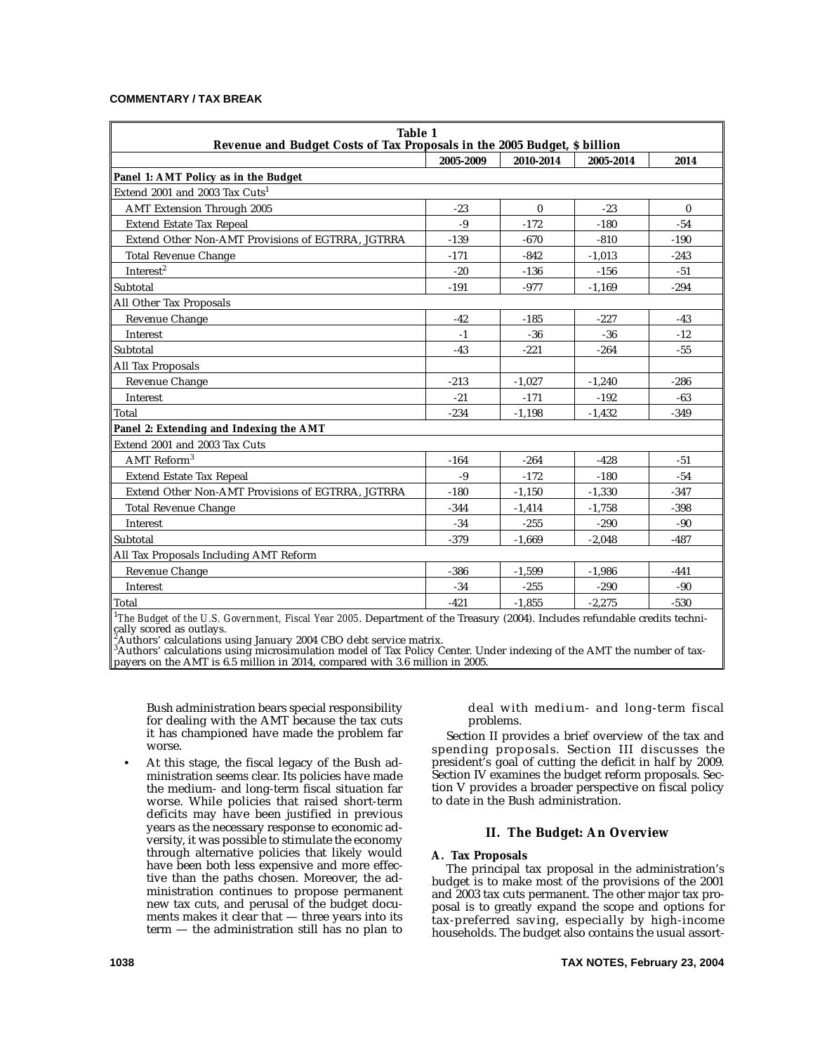#### **COMMENTARY / TAX BREAK**

| Table 1<br>Revenue and Budget Costs of Tax Proposals in the 2005 Budget, \$ billion |           |              |           |              |  |  |
|-------------------------------------------------------------------------------------|-----------|--------------|-----------|--------------|--|--|
|                                                                                     | 2005-2009 | 2010-2014    | 2005-2014 | 2014         |  |  |
| Panel 1: AMT Policy as in the Budget                                                |           |              |           |              |  |  |
| Extend 2001 and 2003 Tax Cuts <sup>1</sup>                                          |           |              |           |              |  |  |
| <b>AMT Extension Through 2005</b>                                                   | $-23$     | $\mathbf{0}$ | $-23$     | $\mathbf{0}$ |  |  |
| <b>Extend Estate Tax Repeal</b>                                                     | $-9$      | $-172$       | $-180$    | $-54$        |  |  |
| Extend Other Non-AMT Provisions of EGTRRA, JGTRRA                                   | $-139$    | $-670$       | $-810$    | $-190$       |  |  |
| <b>Total Revenue Change</b>                                                         | $-171$    | $-842$       | $-1,013$  | $-243$       |  |  |
| Interest <sup>2</sup>                                                               | $-20$     | $-136$       | $-156$    | $-51$        |  |  |
| Subtotal                                                                            | $-191$    | $-977$       | $-1,169$  | $-294$       |  |  |
| All Other Tax Proposals                                                             |           |              |           |              |  |  |
| Revenue Change                                                                      | $-42$     | $-185$       | $-227$    | $-43$        |  |  |
| Interest                                                                            | $-1$      | $-36$        | $-36$     | $-12$        |  |  |
| Subtotal                                                                            | $-43$     | $-221$       | $-264$    | $-55$        |  |  |
| <b>All Tax Proposals</b>                                                            |           |              |           |              |  |  |
| Revenue Change                                                                      | $-213$    | $-1.027$     | $-1.240$  | $-286$       |  |  |
| Interest                                                                            | $-21$     | $-171$       | $-192$    | $-63$        |  |  |
| Total                                                                               | $-234$    | $-1,198$     | $-1,432$  | $-349$       |  |  |
| Panel 2: Extending and Indexing the AMT                                             |           |              |           |              |  |  |
| Extend 2001 and 2003 Tax Cuts                                                       |           |              |           |              |  |  |
| AMT Reform <sup>3</sup>                                                             | $-164$    | $-264$       | $-428$    | $-51$        |  |  |
| <b>Extend Estate Tax Repeal</b>                                                     | $-9$      | $-172$       | $-180$    | $-54$        |  |  |
| Extend Other Non-AMT Provisions of EGTRRA, JGTRRA                                   | $-180$    | $-1,150$     | $-1,330$  | $-347$       |  |  |
| <b>Total Revenue Change</b>                                                         | $-344$    | $-1.414$     | $-1.758$  | $-398$       |  |  |
| Interest                                                                            | $-34$     | $-255$       | $-290$    | $-90$        |  |  |
| Subtotal                                                                            | $-379$    | $-1,669$     | $-2,048$  | $-487$       |  |  |
| All Tax Proposals Including AMT Reform                                              |           |              |           |              |  |  |
| Revenue Change                                                                      | $-386$    | $-1,599$     | $-1,986$  | $-441$       |  |  |
| Interest                                                                            | $-34$     | $-255$       | $-290$    | $-90$        |  |  |
| Total                                                                               | $-421$    | $-1,855$     | $-2.275$  | $-530$       |  |  |

*The Budget of the U.S. Government, Fiscal Year 2005*. Department of the Treasury (2004). Includes refundable credits technically scored as outlays.

,<br><sup>3</sup>Authors' calculations using January 2004 CBO debt service matrix.<br><sup>3</sup>Authors' calculations using microsimulation model of Tax Policy Center. Under indexing of the AMT the number of taxpayers on the AMT is 6.5 million in 2014, compared with 3.6 million in 2005.

Bush administration bears special responsibility for dealing with the AMT because the tax cuts it has championed have made the problem far worse.

• At this stage, the fiscal legacy of the Bush administration seems clear. Its policies have made the medium- and long-term fiscal situation far worse. While policies that raised short-term deficits may have been justified in previous years as the necessary response to economic adversity, it was possible to stimulate the economy through alternative policies that likely would have been both less expensive and more effective than the paths chosen. Moreover, the administration continues to propose permanent new tax cuts, and perusal of the budget documents makes it clear that — three years into its term — the administration still has no plan to

deal with medium- and long-term fiscal problems.

Section II provides a brief overview of the tax and spending proposals. Section III discusses the president's goal of cutting the deficit in half by 2009. Section IV examines the budget reform proposals. Section V provides a broader perspective on fiscal policy to date in the Bush administration.

# **II. The Budget: An Overview**

# **A. Tax Proposals**

The principal tax proposal in the administration's budget is to make most of the provisions of the 2001 and 2003 tax cuts permanent. The other major tax proposal is to greatly expand the scope and options for tax-preferred saving, especially by high-income households. The budget also contains the usual assort-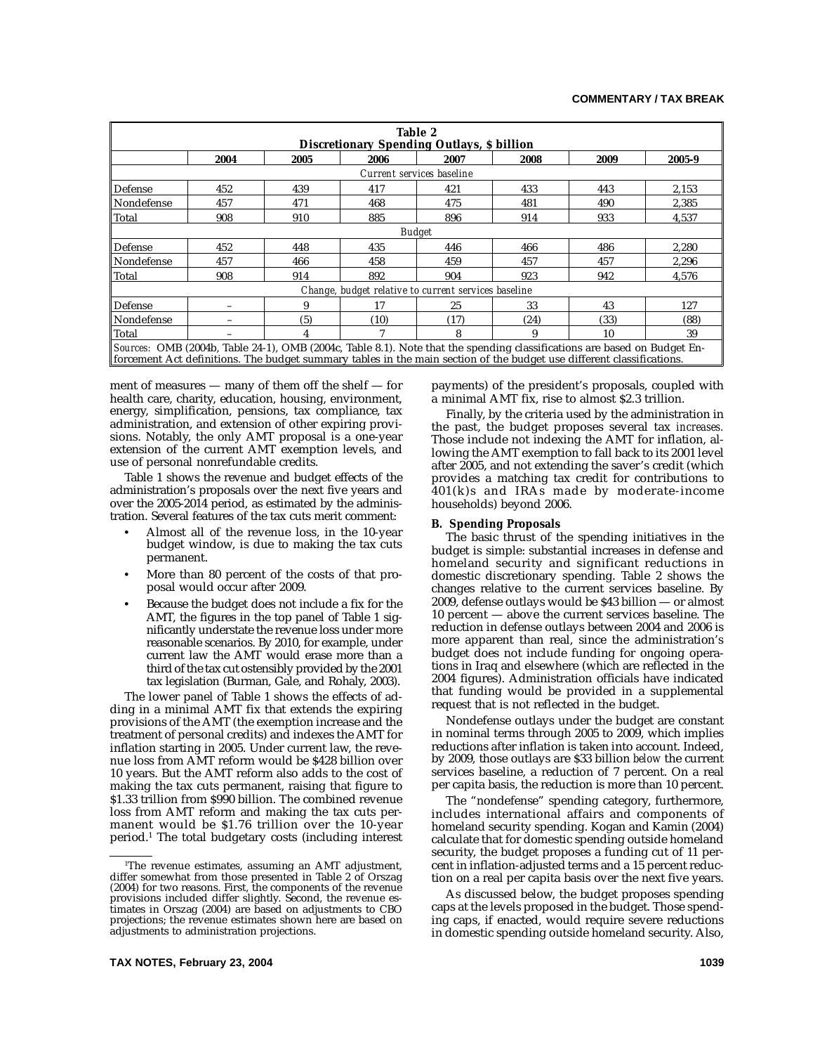| Table 2<br><b>Discretionary Spending Outlays, \$ billion</b>                                                                                                                                                                                      |      |      |      |      |      |      |        |  |
|---------------------------------------------------------------------------------------------------------------------------------------------------------------------------------------------------------------------------------------------------|------|------|------|------|------|------|--------|--|
|                                                                                                                                                                                                                                                   | 2004 | 2005 | 2006 | 2007 | 2008 | 2009 | 2005-9 |  |
| Current services baseline                                                                                                                                                                                                                         |      |      |      |      |      |      |        |  |
| Defense                                                                                                                                                                                                                                           | 452  | 439  | 417  | 421  | 433  | 443  | 2,153  |  |
| Nondefense                                                                                                                                                                                                                                        | 457  | 471  | 468  | 475  | 481  | 490  | 2.385  |  |
| Total                                                                                                                                                                                                                                             | 908  | 910  | 885  | 896  | 914  | 933  | 4,537  |  |
| <b>Budget</b>                                                                                                                                                                                                                                     |      |      |      |      |      |      |        |  |
| Defense                                                                                                                                                                                                                                           | 452  | 448  | 435  | 446  | 466  | 486  | 2,280  |  |
| Nondefense                                                                                                                                                                                                                                        | 457  | 466  | 458  | 459  | 457  | 457  | 2.296  |  |
| Total                                                                                                                                                                                                                                             | 908  | 914  | 892  | 904  | 923  | 942  | 4,576  |  |
| Change, budget relative to current services baseline                                                                                                                                                                                              |      |      |      |      |      |      |        |  |
| Defense                                                                                                                                                                                                                                           |      | 9    | 17   | 25   | 33   | 43   | 127    |  |
| Nondefense                                                                                                                                                                                                                                        |      | (5)  | (10) | (17) | (24) | (33) | (88)   |  |
| Total                                                                                                                                                                                                                                             |      | 4    |      | 8    | 9    | 10   | 39     |  |
| Sources: OMB (2004b, Table 24-1), OMB (2004c, Table 8.1). Note that the spending classifications are based on Budget En-<br>forcement Act definitions. The budget summary tables in the main section of the budget use different classifications. |      |      |      |      |      |      |        |  |

ment of measures — many of them off the shelf — for health care, charity, education, housing, environment, energy, simplification, pensions, tax compliance, tax administration, and extension of other expiring provisions. Notably, the only AMT proposal is a one-year extension of the current AMT exemption levels, and use of personal nonrefundable credits.

Table 1 shows the revenue and budget effects of the administration's proposals over the next five years and over the 2005-2014 period, as estimated by the administration. Several features of the tax cuts merit comment:

- Almost all of the revenue loss, in the 10-year budget window, is due to making the tax cuts permanent.
- More than 80 percent of the costs of that proposal would occur after 2009.
- Because the budget does not include a fix for the AMT, the figures in the top panel of Table 1 significantly understate the revenue loss under more reasonable scenarios. By 2010, for example, under current law the AMT would erase more than a third of the tax cut ostensibly provided by the 2001 tax legislation (Burman, Gale, and Rohaly, 2003).

The lower panel of Table 1 shows the effects of adding in a minimal AMT fix that extends the expiring provisions of the AMT (the exemption increase and the treatment of personal credits) and indexes the AMT for inflation starting in 2005. Under current law, the revenue loss from AMT reform would be \$428 billion over 10 years. But the AMT reform also adds to the cost of making the tax cuts permanent, raising that figure to \$1.33 trillion from \$990 billion. The combined revenue loss from AMT reform and making the tax cuts permanent would be \$1.76 trillion over the 10-year period.1 The total budgetary costs (including interest

payments) of the president's proposals, coupled with a minimal AMT fix, rise to almost \$2.3 trillion.

Finally, by the criteria used by the administration in the past, the budget proposes several tax *increases.* Those include not indexing the AMT for inflation, allowing the AMT exemption to fall back to its 2001 level after 2005, and not extending the saver's credit (which provides a matching tax credit for contributions to 401(k)s and IRAs made by moderate-income households) beyond 2006.

#### **B. Spending Proposals**

The basic thrust of the spending initiatives in the budget is simple: substantial increases in defense and homeland security and significant reductions in domestic discretionary spending. Table 2 shows the changes relative to the current services baseline. By 2009, defense outlays would be \$43 billion — or almost 10 percent — above the current services baseline. The reduction in defense outlays between 2004 and 2006 is more apparent than real, since the administration's budget does not include funding for ongoing operations in Iraq and elsewhere (which are reflected in the 2004 figures). Administration officials have indicated that funding would be provided in a supplemental request that is not reflected in the budget.

Nondefense outlays under the budget are constant in nominal terms through 2005 to 2009, which implies reductions after inflation is taken into account. Indeed, by 2009, those outlays are \$33 billion *below* the current services baseline, a reduction of 7 percent. On a real per capita basis, the reduction is more than 10 percent.

The "nondefense" spending category, furthermore, includes international affairs and components of homeland security spending. Kogan and Kamin (2004) calculate that for domestic spending outside homeland security, the budget proposes a funding cut of 11 percent in inflation-adjusted terms and a 15 percent reduction on a real per capita basis over the next five years.

As discussed below, the budget proposes spending caps at the levels proposed in the budget. Those spending caps, if enacted, would require severe reductions in domestic spending outside homeland security. Also,

<sup>1</sup> The revenue estimates, assuming an AMT adjustment, differ somewhat from those presented in Table 2 of Orszag (2004) for two reasons. First, the components of the revenue provisions included differ slightly. Second, the revenue estimates in Orszag (2004) are based on adjustments to CBO projections; the revenue estimates shown here are based on adjustments to administration projections.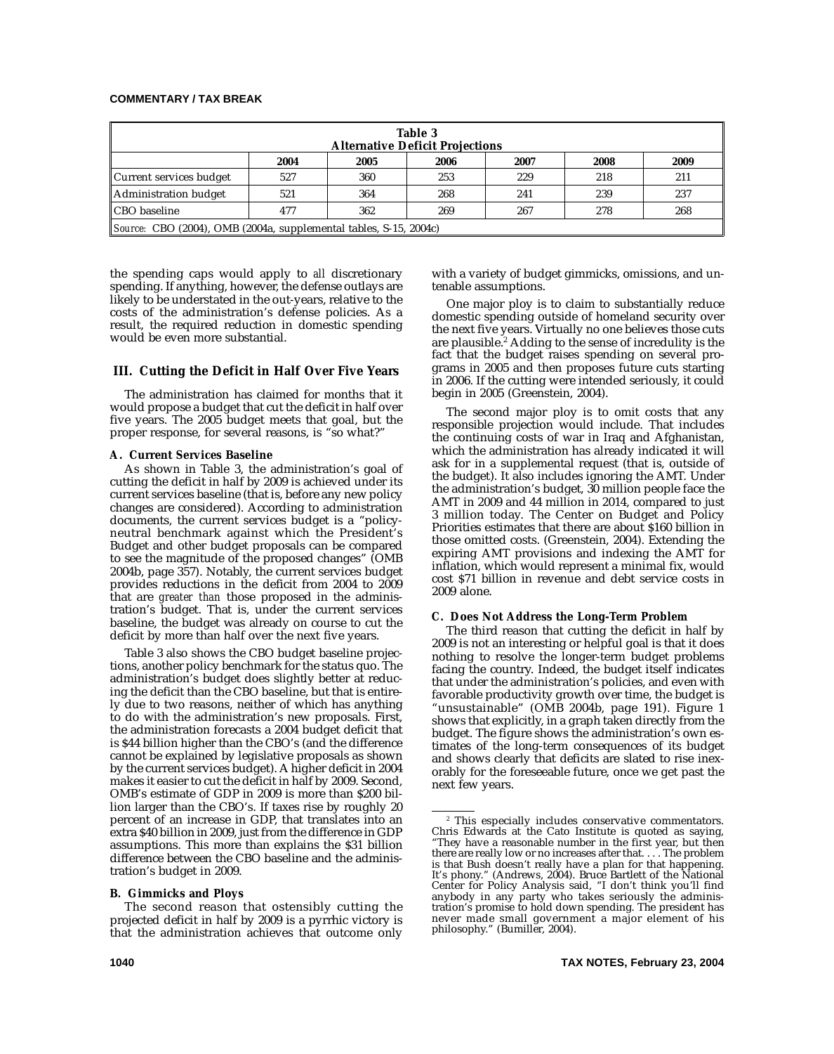# **COMMENTARY / TAX BREAK**

| Table 3<br><b>Alternative Deficit Projections</b>                 |      |      |      |      |      |      |  |  |
|-------------------------------------------------------------------|------|------|------|------|------|------|--|--|
|                                                                   | 2004 | 2005 | 2006 | 2007 | 2008 | 2009 |  |  |
| Current services budget                                           | 527  | 360  | 253  | 229  | 218  | 211  |  |  |
| Administration budget                                             | 521  | 364  | 268  | 241  | 239  | 237  |  |  |
| CBO baseline                                                      | 477  | 362  | 269  | 267  | 278  | 268  |  |  |
| Source: CBO (2004), OMB (2004a, supplemental tables, S-15, 2004c) |      |      |      |      |      |      |  |  |

the spending caps would apply to *all* discretionary spending. If anything, however, the defense outlays are likely to be understated in the out-years, relative to the costs of the administration's defense policies. As a result, the required reduction in domestic spending would be even more substantial.

# **III. Cutting the Deficit in Half Over Five Years**

The administration has claimed for months that it would propose a budget that cut the deficit in half over five years. The 2005 budget meets that goal, but the proper response, for several reasons, is "so what?"

#### **A. Current Services Baseline**

As shown in Table 3, the administration's goal of cutting the deficit in half by 2009 is achieved under its current services baseline (that is, before any new policy changes are considered). According to administration documents, the current services budget is a "policyneutral benchmark against which the President's Budget and other budget proposals can be compared to see the magnitude of the proposed changes" (OMB 2004b, page 357). Notably, the current services budget provides reductions in the deficit from 2004 to 2009 that are *greater than* those proposed in the administration's budget. That is, under the current services baseline, the budget was already on course to cut the deficit by more than half over the next five years.

Table 3 also shows the CBO budget baseline projections, another policy benchmark for the status quo. The administration's budget does slightly better at reducing the deficit than the CBO baseline, but that is entirely due to two reasons, neither of which has anything to do with the administration's new proposals. First, the administration forecasts a 2004 budget deficit that is \$44 billion higher than the CBO's (and the difference cannot be explained by legislative proposals as shown by the current services budget). A higher deficit in 2004 makes it easier to cut the deficit in half by 2009. Second, OMB's estimate of GDP in 2009 is more than \$200 billion larger than the CBO's. If taxes rise by roughly 20 percent of an increase in GDP, that translates into an extra \$40 billion in 2009, just from the difference in GDP assumptions. This more than explains the \$31 billion difference between the CBO baseline and the administration's budget in 2009.

#### **B. Gimmicks and Ploys**

The second reason that ostensibly cutting the projected deficit in half by 2009 is a pyrrhic victory is that the administration achieves that outcome only with a variety of budget gimmicks, omissions, and untenable assumptions.

One major ploy is to claim to substantially reduce domestic spending outside of homeland security over the next five years. Virtually no one believes those cuts are plausible.<sup>2</sup> Adding to the sense of incredulity is the fact that the budget raises spending on several programs in 2005 and then proposes future cuts starting in 2006. If the cutting were intended seriously, it could begin in 2005 (Greenstein, 2004).

The second major ploy is to omit costs that any responsible projection would include. That includes the continuing costs of war in Iraq and Afghanistan, which the administration has already indicated it will ask for in a supplemental request (that is, outside of the budget). It also includes ignoring the AMT. Under the administration's budget, 30 million people face the AMT in 2009 and 44 million in 2014, compared to just 3 million today. The Center on Budget and Policy Priorities estimates that there are about \$160 billion in those omitted costs. (Greenstein, 2004). Extending the expiring AMT provisions and indexing the AMT for inflation, which would represent a minimal fix, would cost \$71 billion in revenue and debt service costs in 2009 alone.

#### **C. Does Not Address the Long-Term Problem**

The third reason that cutting the deficit in half by 2009 is not an interesting or helpful goal is that it does nothing to resolve the longer-term budget problems facing the country. Indeed, the budget itself indicates that under the administration's policies, and even with favorable productivity growth over time, the budget is "unsustainable" (OMB 2004b, page 191). Figure 1 shows that explicitly, in a graph taken directly from the budget. The figure shows the administration's own estimates of the long-term consequences of its budget and shows clearly that deficits are slated to rise inexorably for the foreseeable future, once we get past the next few years.

<sup>2</sup> This especially includes conservative commentators. Chris Edwards at the Cato Institute is quoted as saying, "They have a reasonable number in the first year, but then there are really low or no increases after that. . . . The problem is that Bush doesn't really have a plan for that happening. It's phony." (Andrews, 2004). Bruce Bartlett of the National Center for Policy Analysis said, "I don't think you'll find anybody in any party who takes seriously the administration's promise to hold down spending. The president has never made small government a major element of his philosophy." (Bumiller, 2004).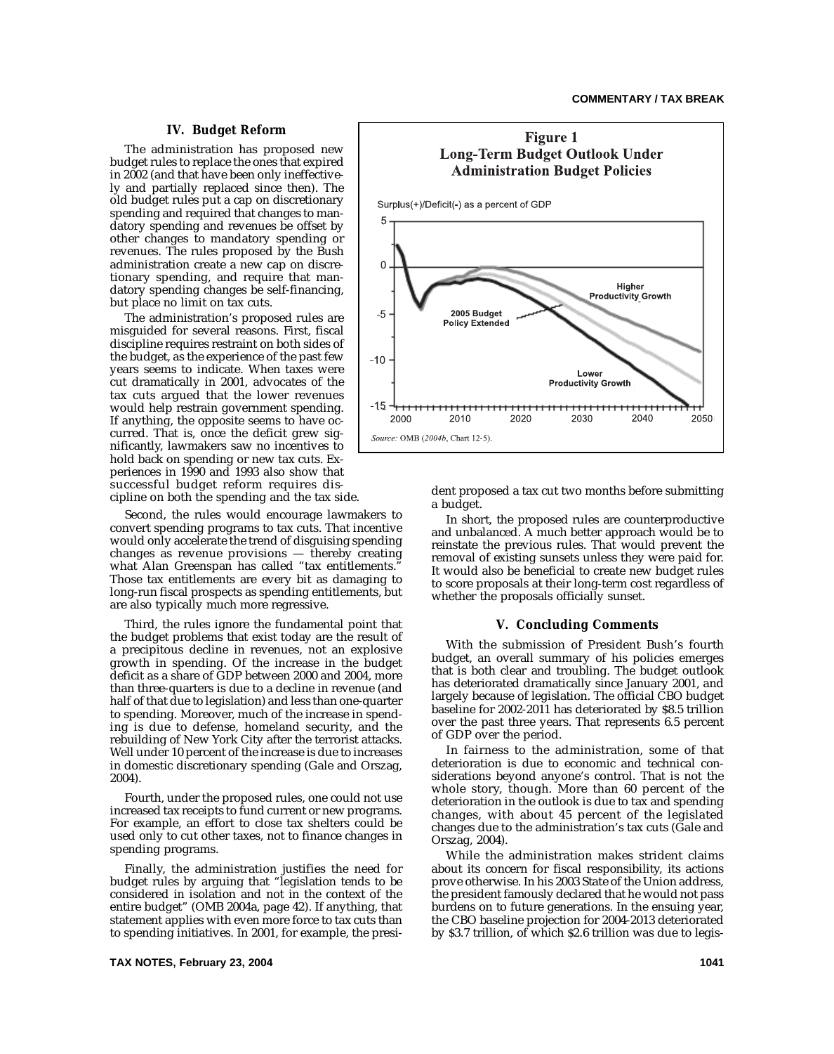# **IV. Budget Reform**

The administration has proposed new budget rules to replace the ones that expired in 2002 (and that have been only ineffectively and partially replaced since then). The old budget rules put a cap on discretionary spending and required that changes to mandatory spending and revenues be offset by other changes to mandatory spending or revenues. The rules proposed by the Bush administration create a new cap on discretionary spending, and require that mandatory spending changes be self-financing, but place no limit on tax cuts.

The administration's proposed rules are misguided for several reasons. First, fiscal discipline requires restraint on both sides of the budget, as the experience of the past few years seems to indicate. When taxes were cut dramatically in 2001, advocates of the tax cuts argued that the lower revenues would help restrain government spending. If anything, the opposite seems to have occurred. That is, once the deficit grew significantly, lawmakers saw no incentives to hold back on spending or new tax cuts. Experiences in 1990 and 1993 also show that successful budget reform requires discipline on both the spending and the tax side.

Second, the rules would encourage lawmakers to convert spending programs to tax cuts. That incentive would only accelerate the trend of disguising spending changes as revenue provisions — thereby creating what Alan Greenspan has called "tax entitlements." Those tax entitlements are every bit as damaging to long-run fiscal prospects as spending entitlements, but are also typically much more regressive.

Third, the rules ignore the fundamental point that the budget problems that exist today are the result of a precipitous decline in revenues, not an explosive growth in spending. Of the increase in the budget deficit as a share of GDP between 2000 and 2004, more than three-quarters is due to a decline in revenue (and half of that due to legislation) and less than one-quarter to spending. Moreover, much of the increase in spending is due to defense, homeland security, and the rebuilding of New York City after the terrorist attacks. Well under 10 percent of the increase is due to increases in domestic discretionary spending (Gale and Orszag, 2004).

Fourth, under the proposed rules, one could not use increased tax receipts to fund current or new programs. For example, an effort to close tax shelters could be used only to cut other taxes, not to finance changes in spending programs.

Finally, the administration justifies the need for budget rules by arguing that "legislation tends to be considered in isolation and not in the context of the entire budget" (OMB 2004a, page 42). If anything, that statement applies with even more force to tax cuts than to spending initiatives. In 2001, for example, the presi-



dent proposed a tax cut two months before submitting a budget.

In short, the proposed rules are counterproductive and unbalanced. A much better approach would be to reinstate the previous rules. That would prevent the removal of existing sunsets unless they were paid for. It would also be beneficial to create new budget rules to score proposals at their long-term cost regardless of whether the proposals officially sunset.

#### **V. Concluding Comments**

With the submission of President Bush's fourth budget, an overall summary of his policies emerges that is both clear and troubling. The budget outlook has deteriorated dramatically since January 2001, and largely because of legislation. The official CBO budget baseline for 2002-2011 has deteriorated by \$8.5 trillion over the past three years. That represents 6.5 percent of GDP over the period.

In fairness to the administration, some of that deterioration is due to economic and technical considerations beyond anyone's control. That is not the whole story, though. More than 60 percent of the deterioration in the outlook is due to tax and spending changes, with about 45 percent of the legislated changes due to the administration's tax cuts (Gale and Orszag, 2004).

While the administration makes strident claims about its concern for fiscal responsibility, its actions prove otherwise. In his 2003 State of the Union address, the president famously declared that he would not pass burdens on to future generations. In the ensuing year, the CBO baseline projection for 2004-2013 deteriorated by \$3.7 trillion, of which \$2.6 trillion was due to legis-